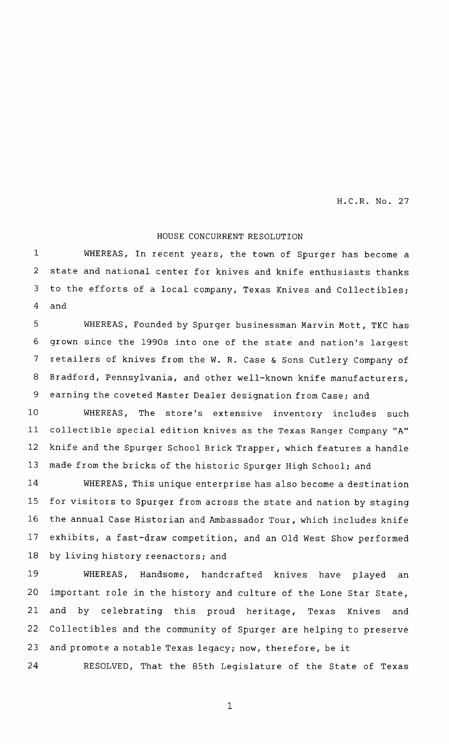H.C.R. No. 27

## HOUSE CONCURRENT RESOLUTION

WHEREAS, In recent years, the town of Spurger has become <sup>a</sup> state and national center for knives and knife enthusiasts thanks to the efforts of <sup>a</sup> local company, Texas Knives and Collectibles; and 1 2 3 4

WHEREAS, Founded by Spurger businessman Marvin Mott, TKC has grown since the 1990s into one of the state and nation's largest retailers of knives from the W. R. Case & Sons Cutlery Company of Bradford, Pennsylvania, and other well-known knife manufacturers, earning the coveted Master Dealer designation from Case; and 5 6 7 8 9

WHEREAS, The store's extensive inventory includes such collectible special edition knives as the Texas Ranger Company "A" knife and the Spurger School Brick Trapper , which features <sup>a</sup> handle made from the bricks of the historic Spurger High School; and 10 11 12 13

WHEREAS , This unique enterprise has also become <sup>a</sup> destination for visitors to Spurger from across the state and nation by staging the annual Case Historian and Ambassador Tour, which includes knife exhibits, a fast-draw competition, and an Old West Show performed by living history reenactors; and 14 15 16 17 18

WHEREAS, Handsome, handcrafted knives have played an important role in the history and culture of the Lone Star State, and by celebrating this proud heritage, Texas Knives and Collectibles and the community of Spurger are helping to preserve and promote a notable Texas legacy; now, therefore, be it 19 20 21 22 23

RESOLVED, That the 85th Legislature of the State of Texas 24

1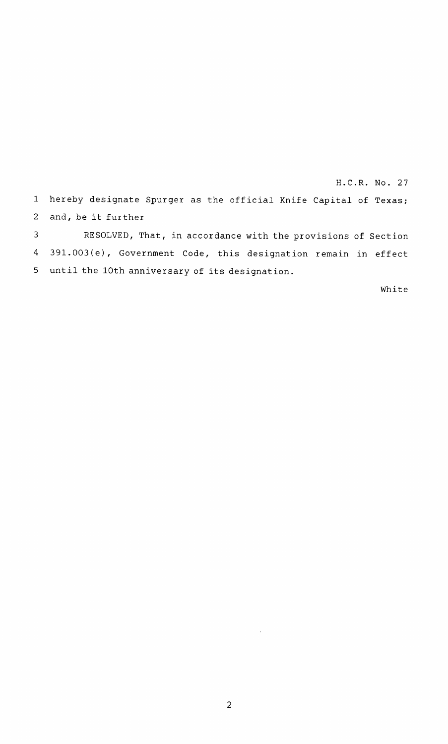H.C.R. No. 27 <sup>1</sup> hereby designate Spurger as the official Knife Capital of Texas; and, be it further RESOLVED, That, in accordance with the provisions of Section 2 3

391.003(e), Government Code, this designation remain in effect until the 10th anniversary of its designation. 5 4

White